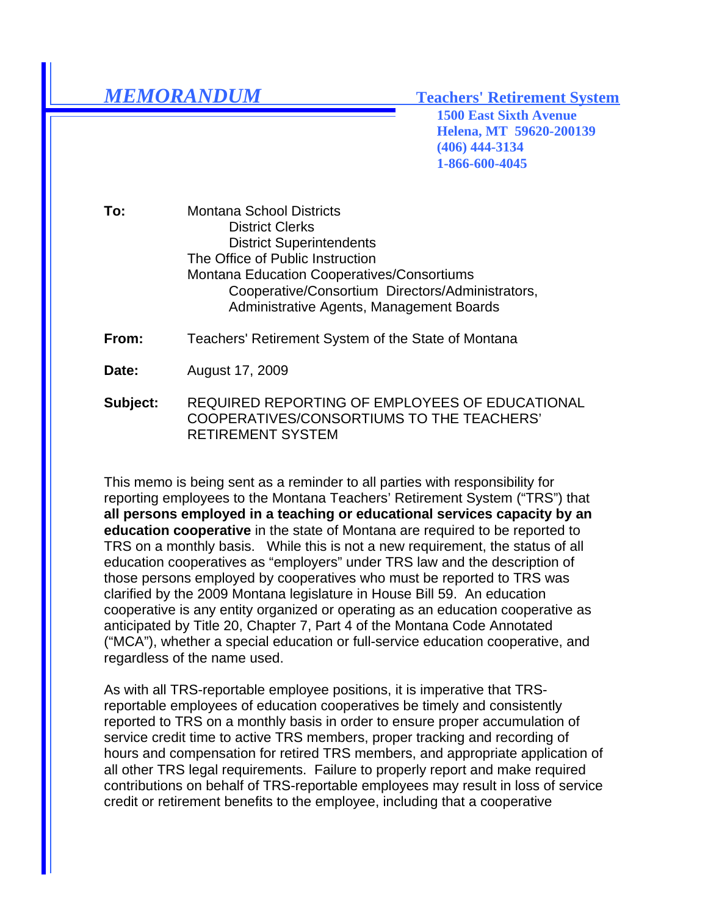## *MEMORANDUM* **Teachers' Retirement System**

**1500 East Sixth Avenue Helena, MT 59620-200139 (406) 444-3134 1-866-600-4045**

**To:** Montana School Districts District Clerks District Superintendents The Office of Public Instruction Montana Education Cooperatives/Consortiums Cooperative/Consortium Directors/Administrators, Administrative Agents, Management Boards

**From:** Teachers' Retirement System of the State of Montana

**Date:** August 17, 2009

**Subject:** REQUIRED REPORTING OF EMPLOYEES OF EDUCATIONAL COOPERATIVES/CONSORTIUMS TO THE TEACHERS' RETIREMENT SYSTEM

This memo is being sent as a reminder to all parties with responsibility for reporting employees to the Montana Teachers' Retirement System ("TRS") that **all persons employed in a teaching or educational services capacity by an education cooperative** in the state of Montana are required to be reported to TRS on a monthly basis. While this is not a new requirement, the status of all education cooperatives as "employers" under TRS law and the description of those persons employed by cooperatives who must be reported to TRS was clarified by the 2009 Montana legislature in House Bill 59. An education cooperative is any entity organized or operating as an education cooperative as anticipated by Title 20, Chapter 7, Part 4 of the Montana Code Annotated ("MCA"), whether a special education or full-service education cooperative, and regardless of the name used.

As with all TRS-reportable employee positions, it is imperative that TRSreportable employees of education cooperatives be timely and consistently reported to TRS on a monthly basis in order to ensure proper accumulation of service credit time to active TRS members, proper tracking and recording of hours and compensation for retired TRS members, and appropriate application of all other TRS legal requirements. Failure to properly report and make required contributions on behalf of TRS-reportable employees may result in loss of service credit or retirement benefits to the employee, including that a cooperative